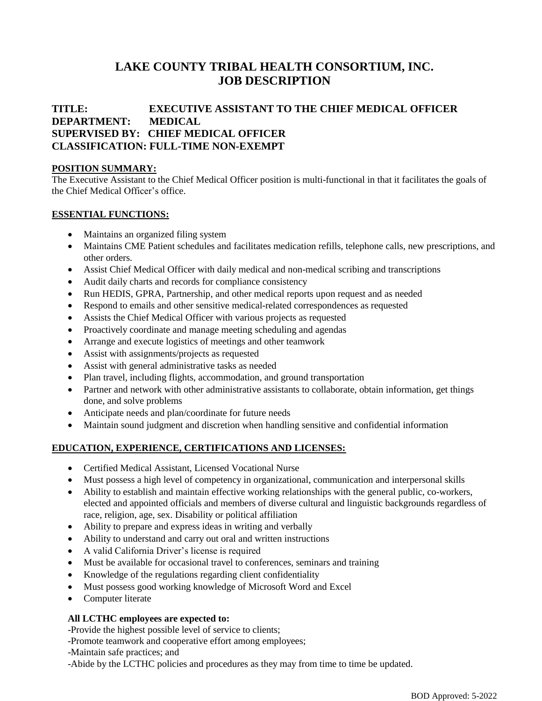# **LAKE COUNTY TRIBAL HEALTH CONSORTIUM, INC. JOB DESCRIPTION**

# **TITLE: EXECUTIVE ASSISTANT TO THE CHIEF MEDICAL OFFICER DEPARTMENT: MEDICAL SUPERVISED BY: CHIEF MEDICAL OFFICER CLASSIFICATION: FULL-TIME NON-EXEMPT**

#### **POSITION SUMMARY:**

The Executive Assistant to the Chief Medical Officer position is multi-functional in that it facilitates the goals of the Chief Medical Officer's office.

#### **ESSENTIAL FUNCTIONS:**

- Maintains an organized filing system
- Maintains CME Patient schedules and facilitates medication refills, telephone calls, new prescriptions, and other orders.
- Assist Chief Medical Officer with daily medical and non-medical scribing and transcriptions
- Audit daily charts and records for compliance consistency
- Run HEDIS, GPRA, Partnership, and other medical reports upon request and as needed
- Respond to emails and other sensitive medical-related correspondences as requested
- Assists the Chief Medical Officer with various projects as requested
- Proactively coordinate and manage meeting scheduling and agendas
- Arrange and execute logistics of meetings and other teamwork
- Assist with assignments/projects as requested
- Assist with general administrative tasks as needed
- Plan travel, including flights, accommodation, and ground transportation
- Partner and network with other administrative assistants to collaborate, obtain information, get things done, and solve problems
- Anticipate needs and plan/coordinate for future needs
- Maintain sound judgment and discretion when handling sensitive and confidential information

#### **EDUCATION, EXPERIENCE, CERTIFICATIONS AND LICENSES:**

- Certified Medical Assistant, Licensed Vocational Nurse
- Must possess a high level of competency in organizational, communication and interpersonal skills
- Ability to establish and maintain effective working relationships with the general public, co-workers, elected and appointed officials and members of diverse cultural and linguistic backgrounds regardless of race, religion, age, sex. Disability or political affiliation
- Ability to prepare and express ideas in writing and verbally
- Ability to understand and carry out oral and written instructions
- A valid California Driver's license is required
- Must be available for occasional travel to conferences, seminars and training
- Knowledge of the regulations regarding client confidentiality
- Must possess good working knowledge of Microsoft Word and Excel
- Computer literate

#### **All LCTHC employees are expected to:**

-Provide the highest possible level of service to clients;

-Promote teamwork and cooperative effort among employees;

-Maintain safe practices; and

-Abide by the LCTHC policies and procedures as they may from time to time be updated.